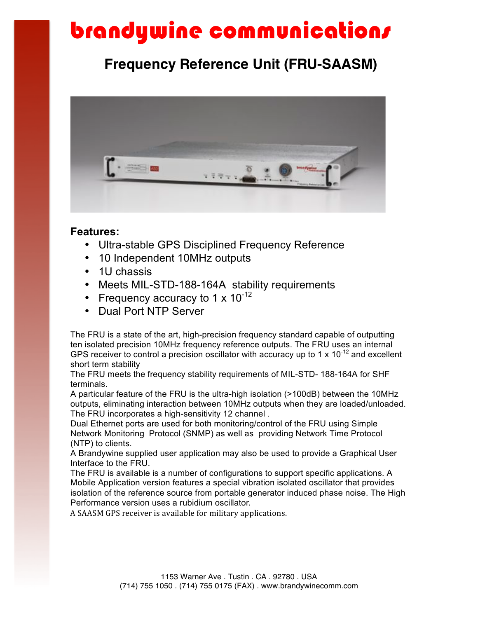# brandywine communications

## **Frequency Reference Unit (FRU-SAASM)**



### **Features:**

- Ultra-stable GPS Disciplined Frequency Reference
- 10 Independent 10MHz outputs
- 1U chassis
- Meets MIL-STD-188-164A stability requirements
- Frequency accuracy to 1  $\times$  10<sup>-12</sup>
- Dual Port NTP Server

The FRU is a state of the art, high-precision frequency standard capable of outputting ten isolated precision 10MHz frequency reference outputs. The FRU uses an internal GPS receiver to control a precision oscillator with accuracy up to 1  $\times$  10<sup>-12</sup> and excellent short term stability

The FRU meets the frequency stability requirements of MIL-STD- 188-164A for SHF terminals.

A particular feature of the FRU is the ultra-high isolation (>100dB) between the 10MHz outputs, eliminating interaction between 10MHz outputs when they are loaded/unloaded. The FRU incorporates a high-sensitivity 12 channel .

Dual Ethernet ports are used for both monitoring/control of the FRU using Simple Network Monitoring Protocol (SNMP) as well as providing Network Time Protocol (NTP) to clients.

A Brandywine supplied user application may also be used to provide a Graphical User Interface to the FRU.

The FRU is available is a number of configurations to support specific applications. A Mobile Application version features a special vibration isolated oscillator that provides isolation of the reference source from portable generator induced phase noise. The High Performance version uses a rubidium oscillator.

A SAASM GPS receiver is available for military applications.